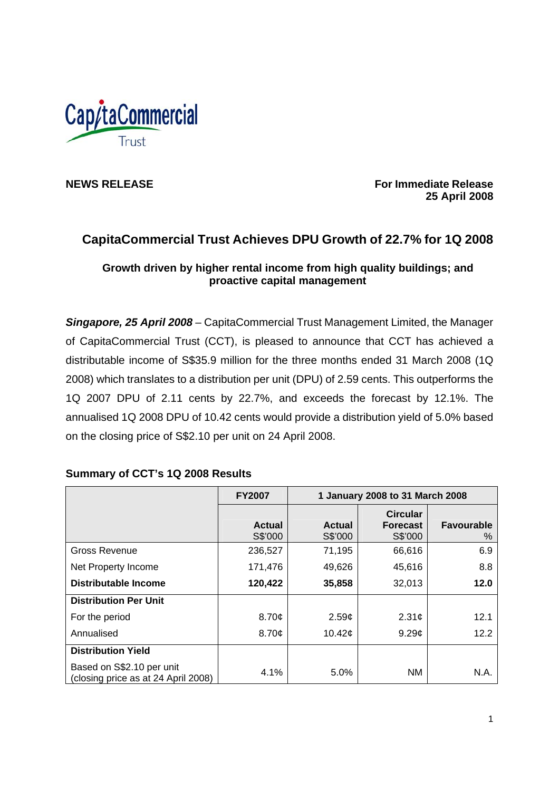

**NEWS RELEASE** *NEWS RELEASE CONSERVERSE <b>For Immediate Release For Immediate Release*  **25 April 2008** 

# **CapitaCommercial Trust Achieves DPU Growth of 22.7% for 1Q 2008**

# **Growth driven by higher rental income from high quality buildings; and proactive capital management**

*Singapore, 25 April 2008* – CapitaCommercial Trust Management Limited, the Manager of CapitaCommercial Trust (CCT), is pleased to announce that CCT has achieved a distributable income of S\$35.9 million for the three months ended 31 March 2008 (1Q 2008) which translates to a distribution per unit (DPU) of 2.59 cents. This outperforms the 1Q 2007 DPU of 2.11 cents by 22.7%, and exceeds the forecast by 12.1%. The annualised 1Q 2008 DPU of 10.42 cents would provide a distribution yield of 5.0% based on the closing price of S\$2.10 per unit on 24 April 2008.

|                                                                  | <b>FY2007</b>            | 1 January 2008 to 31 March 2008 |                                               |                           |
|------------------------------------------------------------------|--------------------------|---------------------------------|-----------------------------------------------|---------------------------|
|                                                                  | <b>Actual</b><br>S\$'000 | <b>Actual</b><br>S\$'000        | <b>Circular</b><br><b>Forecast</b><br>S\$'000 | <b>Favourable</b><br>$\%$ |
| <b>Gross Revenue</b>                                             | 236,527                  | 71,195                          | 66,616                                        | 6.9                       |
| Net Property Income                                              | 171,476                  | 49,626                          | 45,616                                        | 8.8                       |
| <b>Distributable Income</b>                                      | 120,422                  | 35,858                          | 32,013                                        | 12.0                      |
| <b>Distribution Per Unit</b>                                     |                          |                                 |                                               |                           |
| For the period                                                   | 8.70¢                    | 2.59 <sub>c</sub>               | 2.31 <sub>c</sub>                             | 12.1                      |
| Annualised                                                       | 8.70¢                    | 10.42 $\sigma$                  | 9.29 <sub>¢</sub>                             | 12.2                      |
| <b>Distribution Yield</b>                                        |                          |                                 |                                               |                           |
| Based on S\$2.10 per unit<br>(closing price as at 24 April 2008) | 4.1%                     | 5.0%                            | ΝM                                            | N.A.                      |

# **Summary of CCT's 1Q 2008 Results**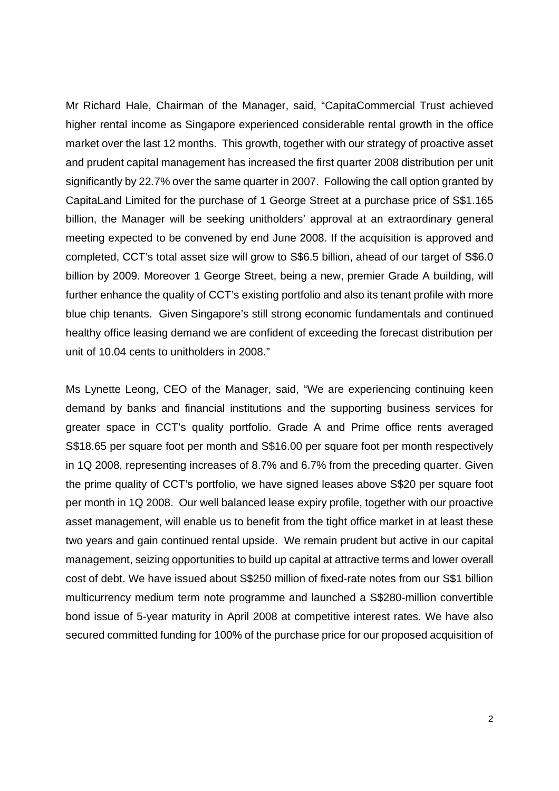Mr Richard Hale, Chairman of the Manager, said, "CapitaCommercial Trust achieved higher rental income as Singapore experienced considerable rental growth in the office market over the last 12 months. This growth, together with our strategy of proactive asset and prudent capital management has increased the first quarter 2008 distribution per unit significantly by 22.7% over the same quarter in 2007. Following the call option granted by CapitaLand Limited for the purchase of 1 George Street at a purchase price of S\$1.165 billion, the Manager will be seeking unitholders' approval at an extraordinary general meeting expected to be convened by end June 2008. If the acquisition is approved and completed, CCT's total asset size will grow to S\$6.5 billion, ahead of our target of S\$6.0 billion by 2009. Moreover 1 George Street, being a new, premier Grade A building, will further enhance the quality of CCT's existing portfolio and also its tenant profile with more blue chip tenants. Given Singapore's still strong economic fundamentals and continued healthy office leasing demand we are confident of exceeding the forecast distribution per unit of 10.04 cents to unitholders in 2008."

Ms Lynette Leong, CEO of the Manager, said, "We are experiencing continuing keen demand by banks and financial institutions and the supporting business services for greater space in CCT's quality portfolio. Grade A and Prime office rents averaged S\$18.65 per square foot per month and S\$16.00 per square foot per month respectively in 1Q 2008, representing increases of 8.7% and 6.7% from the preceding quarter. Given the prime quality of CCT's portfolio, we have signed leases above S\$20 per square foot per month in 1Q 2008. Our well balanced lease expiry profile, together with our proactive asset management, will enable us to benefit from the tight office market in at least these two years and gain continued rental upside. We remain prudent but active in our capital management, seizing opportunities to build up capital at attractive terms and lower overall cost of debt. We have issued about S\$250 million of fixed-rate notes from our S\$1 billion multicurrency medium term note programme and launched a S\$280-million convertible bond issue of 5-year maturity in April 2008 at competitive interest rates. We have also secured committed funding for 100% of the purchase price for our proposed acquisition of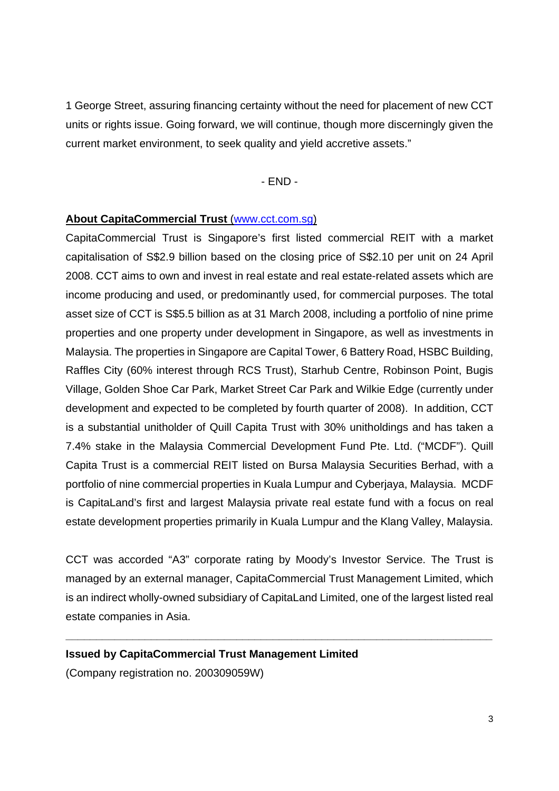1 George Street, assuring financing certainty without the need for placement of new CCT units or rights issue. Going forward, we will continue, though more discerningly given the current market environment, to seek quality and yield accretive assets."

### - END -

#### **About CapitaCommercial Trust** (www.cct.com.sg)

CapitaCommercial Trust is Singapore's first listed commercial REIT with a market capitalisation of S\$2.9 billion based on the closing price of S\$2.10 per unit on 24 April 2008. CCT aims to own and invest in real estate and real estate-related assets which are income producing and used, or predominantly used, for commercial purposes. The total asset size of CCT is S\$5.5 billion as at 31 March 2008, including a portfolio of nine prime properties and one property under development in Singapore, as well as investments in Malaysia. The properties in Singapore are Capital Tower, 6 Battery Road, HSBC Building, Raffles City (60% interest through RCS Trust), Starhub Centre, Robinson Point, Bugis Village, Golden Shoe Car Park, Market Street Car Park and Wilkie Edge (currently under development and expected to be completed by fourth quarter of 2008). In addition, CCT is a substantial unitholder of Quill Capita Trust with 30% unitholdings and has taken a 7.4% stake in the Malaysia Commercial Development Fund Pte. Ltd. ("MCDF"). Quill Capita Trust is a commercial REIT listed on Bursa Malaysia Securities Berhad, with a portfolio of nine commercial properties in Kuala Lumpur and Cyberjaya, Malaysia. MCDF is CapitaLand's first and largest Malaysia private real estate fund with a focus on real estate development properties primarily in Kuala Lumpur and the Klang Valley, Malaysia.

CCT was accorded "A3" corporate rating by Moody's Investor Service. The Trust is managed by an external manager, CapitaCommercial Trust Management Limited, which is an indirect wholly-owned subsidiary of CapitaLand Limited, one of the largest listed real estate companies in Asia.

**\_\_\_\_\_\_\_\_\_\_\_\_\_\_\_\_\_\_\_\_\_\_\_\_\_\_\_\_\_\_\_\_\_\_\_\_\_\_\_\_\_\_\_\_\_\_\_\_\_\_\_\_\_\_\_\_\_\_\_\_\_\_\_\_\_\_\_\_\_\_** 

#### **Issued by CapitaCommercial Trust Management Limited**

(Company registration no. 200309059W)